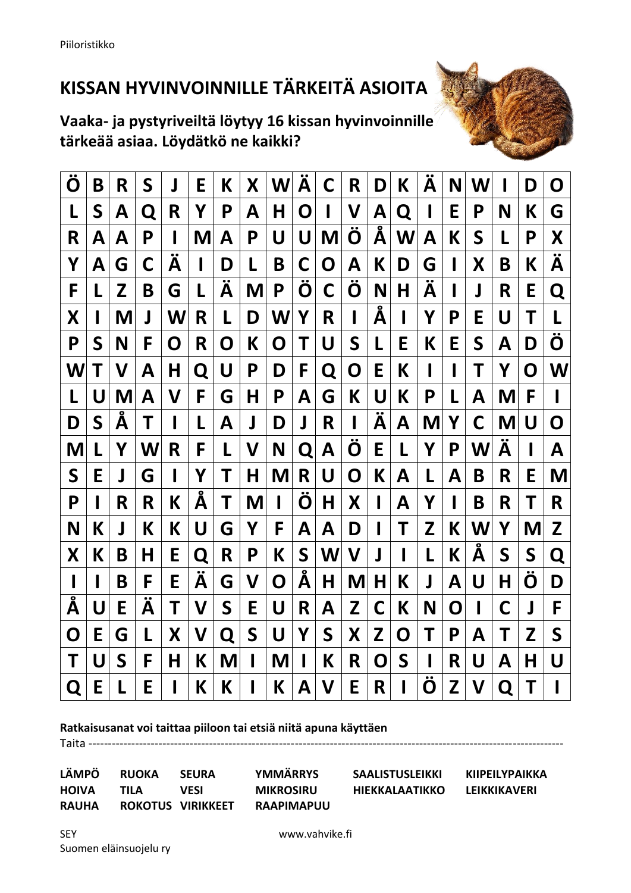## **KISSAN HYVINVOINNILLE TÄRKEITÄ ASIOITA**

**Vaaka- ja pystyriveiltä löytyy 16 kissan hyvinvoinnille tärkeää asiaa. Löydätkö ne kaikki?**



| Ö | Β | R | S              | 」 | Е              | К           | Χ           | W | Α                    | C | R | D      | К | A      | N | W |   | D           | O      |
|---|---|---|----------------|---|----------------|-------------|-------------|---|----------------------|---|---|--------|---|--------|---|---|---|-------------|--------|
| L | S | Α | Q              | R | Υ              | P           | Α           | Η | O                    | I | V | Α      | Q | I      | E | P | N | Κ           | G      |
| R | А | А | P              |   | M              | А           | Ρ           | U | U                    | M | O | Α      | W | A      | К | S | L | P           | X      |
| Y | Α | G | С              | Α | ı              | D           | L           | Β | С                    | O | Α | К      | D | G      | I | Х | Β | К           | ÷<br>Α |
| F |   | Z | Β              | G | L              | Ä           | M           | Ρ | Ö                    | С | Ö | N      | Η | ∾<br>Α | I | J | R | Е           | Q      |
| Χ |   | M | J              | W | R              | L           | D           | W | Υ                    | R | I | ō<br>Α | I | Υ      | Ρ | Ε | U | Т           | L      |
| P | S | N | F              | O | R              | O           | К           | O | Τ                    | U | S | L      | E | К      | Е | S | Α | D           | Ö      |
| W | Τ | V | А              | Н | Q              | U           | P           | D | F                    | Q | O | Е      | К |        | I | Т | Υ | O           | W      |
| L | U | M | Α              | V | F              | G           | Η           | Ρ | Α                    | G | К | U      | К | Ρ      | L | Α | M | F           | I      |
| D | S | Α | Τ              |   | L              | Α           | J           | D | J                    | R | ı | Α      | Α | M      | Υ | C | M | U           | O      |
| M |   | Υ | W              | R | F              | L           | V           | N | Q                    | Α | O | E      | L | Υ      | P | W | Α |             | Α      |
| S | Ε | J | G              | ı | Υ              | Т           | Η           | M | R                    | U | Ő | К      | Α | L      | Α | Β | R | Ε           | M      |
|   |   |   |                |   |                |             |             |   |                      |   |   |        |   |        |   |   |   |             |        |
| P |   | R | R              | К | Å              | T           | M           | I | Ö                    | Η | Χ | I      | Α | Υ      | I | Β | R | T           | R      |
| N | К | J | K              | К | U              | G           | Υ           | F | Α                    | Α | D | П      | Т | Z      | К | W | Υ | M           | Z      |
| X | К | Β | Н              | Е | Q              | R           | P           | К | S                    | W | V | J      | I | L      | К | Å | S | $\mathsf S$ | Q      |
| I |   | B | F              | E | $\bullet$<br>Α | G           | V           | O | $\tilde{\textbf{A}}$ | Η | M | Η      | К | J      | Α | U | Н | ะ<br>O      | D      |
| Å | U | Ε | $\bullet$<br>Α | Τ | V              | $\mathsf S$ | E           | U | R                    | Α | Z | C      | К | N      | O |   | С | J           | F      |
| O | E | G | L              | X | V              | Q           | $\mathsf S$ | U | Υ                    | S | X | Z      | Ő | Т      | P | Α | Τ | Z           | S      |
| Τ | U | S | F              | Η | К              | M           | I           | M |                      | К | R | O      | S |        | R | U | Α | Η           | U      |

## **Ratkaisusanat voi taittaa piiloon tai etsiä niitä apuna käyttäen**

**LÄMPÖ RUOKA SEURA YMMÄRRYS SAALISTUSLEIKKI KIIPEILYPAIKKA HOIVA TILA VESI MIKROSIRU HIEKKALAATIKKO LEIKKIKAVERI RAUHA ROKOTUS VIRIKKEET RAAPIMAPUU**

Taita ----------------------------